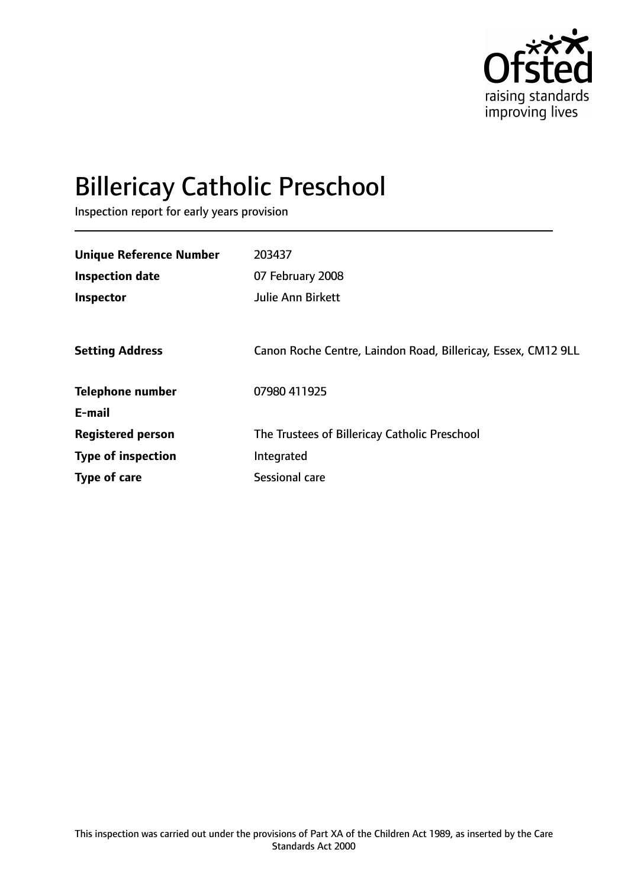

# Billericay Catholic Preschool

Inspection report for early years provision

| <b>Unique Reference Number</b> | 203437                                                        |
|--------------------------------|---------------------------------------------------------------|
|                                |                                                               |
| <b>Inspection date</b>         | 07 February 2008                                              |
| Inspector                      | Julie Ann Birkett                                             |
|                                |                                                               |
| <b>Setting Address</b>         | Canon Roche Centre, Laindon Road, Billericay, Essex, CM12 9LL |
| <b>Telephone number</b>        | 07980 411925                                                  |
| E-mail                         |                                                               |
| <b>Registered person</b>       | The Trustees of Billericay Catholic Preschool                 |
| <b>Type of inspection</b>      | Integrated                                                    |
| <b>Type of care</b>            | Sessional care                                                |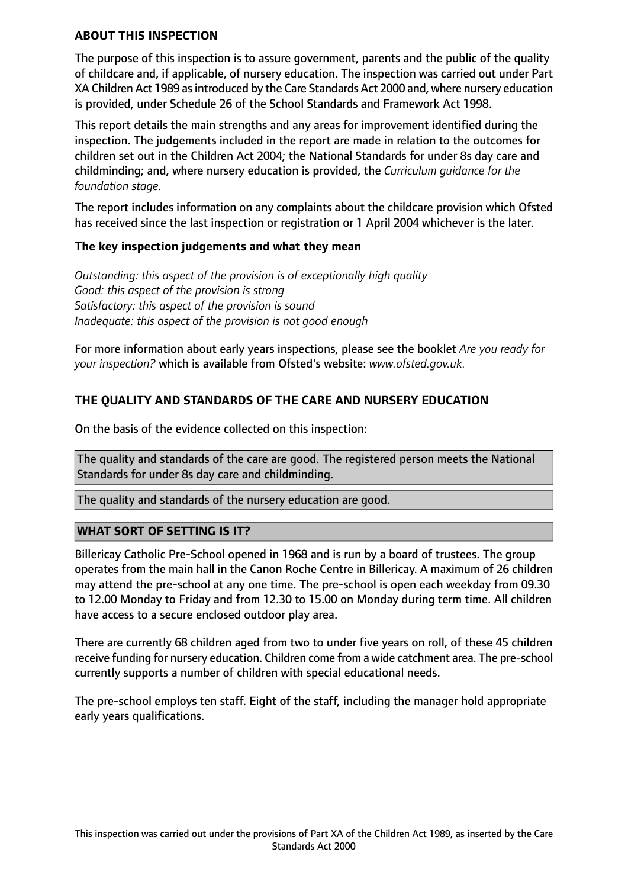#### **ABOUT THIS INSPECTION**

The purpose of this inspection is to assure government, parents and the public of the quality of childcare and, if applicable, of nursery education. The inspection was carried out under Part XA Children Act 1989 as introduced by the Care Standards Act 2000 and, where nursery education is provided, under Schedule 26 of the School Standards and Framework Act 1998.

This report details the main strengths and any areas for improvement identified during the inspection. The judgements included in the report are made in relation to the outcomes for children set out in the Children Act 2004; the National Standards for under 8s day care and childminding; and, where nursery education is provided, the *Curriculum guidance for the foundation stage.*

The report includes information on any complaints about the childcare provision which Ofsted has received since the last inspection or registration or 1 April 2004 whichever is the later.

#### **The key inspection judgements and what they mean**

*Outstanding: this aspect of the provision is of exceptionally high quality Good: this aspect of the provision is strong Satisfactory: this aspect of the provision is sound Inadequate: this aspect of the provision is not good enough*

For more information about early years inspections, please see the booklet *Are you ready for your inspection?* which is available from Ofsted's website: *www.ofsted.gov.uk.*

## **THE QUALITY AND STANDARDS OF THE CARE AND NURSERY EDUCATION**

On the basis of the evidence collected on this inspection:

The quality and standards of the care are good. The registered person meets the National Standards for under 8s day care and childminding.

The quality and standards of the nursery education are good.

#### **WHAT SORT OF SETTING IS IT?**

Billericay Catholic Pre-School opened in 1968 and is run by a board of trustees. The group operates from the main hall in the Canon Roche Centre in Billericay. A maximum of 26 children may attend the pre-school at any one time. The pre-school is open each weekday from 09.30 to 12.00 Monday to Friday and from 12.30 to 15.00 on Monday during term time. All children have access to a secure enclosed outdoor play area.

There are currently 68 children aged from two to under five years on roll, of these 45 children receive funding for nursery education. Children come from a wide catchment area. The pre-school currently supports a number of children with special educational needs.

The pre-school employs ten staff. Eight of the staff, including the manager hold appropriate early years qualifications.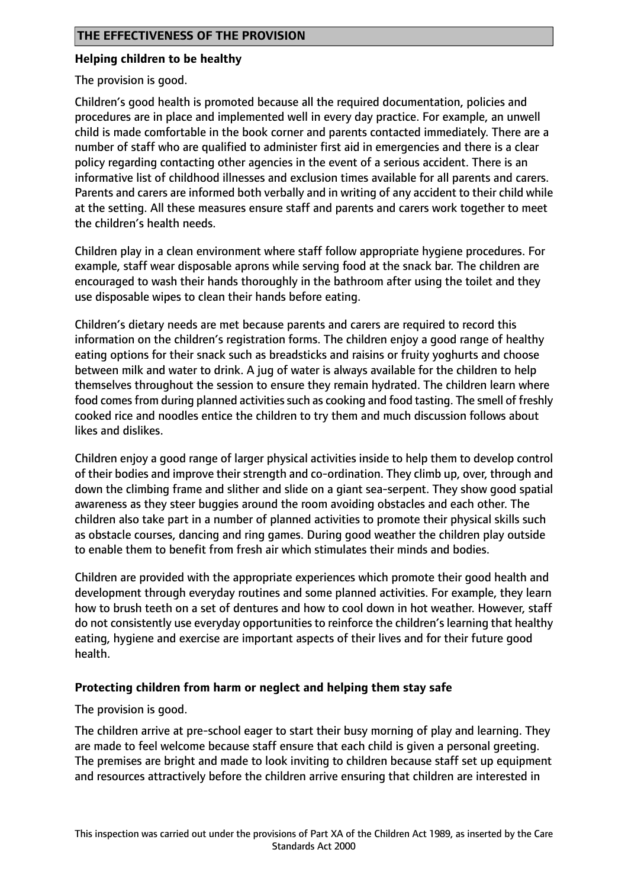## **Helping children to be healthy**

The provision is good.

Children's good health is promoted because all the required documentation, policies and procedures are in place and implemented well in every day practice. For example, an unwell child is made comfortable in the book corner and parents contacted immediately. There are a number of staff who are qualified to administer first aid in emergencies and there is a clear policy regarding contacting other agencies in the event of a serious accident. There is an informative list of childhood illnesses and exclusion times available for all parents and carers. Parents and carers are informed both verbally and in writing of any accident to their child while at the setting. All these measures ensure staff and parents and carers work together to meet the children's health needs.

Children play in a clean environment where staff follow appropriate hygiene procedures. For example, staff wear disposable aprons while serving food at the snack bar. The children are encouraged to wash their hands thoroughly in the bathroom after using the toilet and they use disposable wipes to clean their hands before eating.

Children's dietary needs are met because parents and carers are required to record this information on the children's registration forms. The children enjoy a good range of healthy eating options for their snack such as breadsticks and raisins or fruity yoghurts and choose between milk and water to drink. A jug of water is always available for the children to help themselves throughout the session to ensure they remain hydrated. The children learn where food comes from during planned activities such as cooking and food tasting. The smell of freshly cooked rice and noodles entice the children to try them and much discussion follows about likes and dislikes.

Children enjoy a good range of larger physical activities inside to help them to develop control of their bodies and improve their strength and co-ordination. They climb up, over, through and down the climbing frame and slither and slide on a giant sea-serpent. They show good spatial awareness as they steer buggies around the room avoiding obstacles and each other. The children also take part in a number of planned activities to promote their physical skills such as obstacle courses, dancing and ring games. During good weather the children play outside to enable them to benefit from fresh air which stimulates their minds and bodies.

Children are provided with the appropriate experiences which promote their good health and development through everyday routines and some planned activities. For example, they learn how to brush teeth on a set of dentures and how to cool down in hot weather. However, staff do not consistently use everyday opportunities to reinforce the children's learning that healthy eating, hygiene and exercise are important aspects of their lives and for their future good health.

## **Protecting children from harm or neglect and helping them stay safe**

The provision is good.

The children arrive at pre-school eager to start their busy morning of play and learning. They are made to feel welcome because staff ensure that each child is given a personal greeting. The premises are bright and made to look inviting to children because staff set up equipment and resources attractively before the children arrive ensuring that children are interested in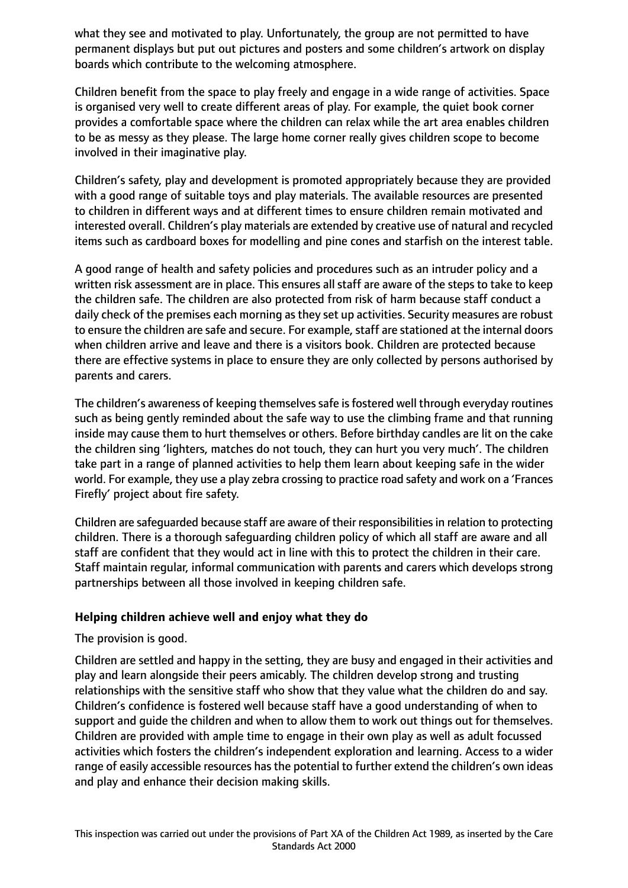what they see and motivated to play. Unfortunately, the group are not permitted to have permanent displays but put out pictures and posters and some children's artwork on display boards which contribute to the welcoming atmosphere.

Children benefit from the space to play freely and engage in a wide range of activities. Space is organised very well to create different areas of play. For example, the quiet book corner provides a comfortable space where the children can relax while the art area enables children to be as messy as they please. The large home corner really gives children scope to become involved in their imaginative play.

Children's safety, play and development is promoted appropriately because they are provided with a good range of suitable toys and play materials. The available resources are presented to children in different ways and at different times to ensure children remain motivated and interested overall. Children's play materials are extended by creative use of natural and recycled items such as cardboard boxes for modelling and pine cones and starfish on the interest table.

A good range of health and safety policies and procedures such as an intruder policy and a written risk assessment are in place. This ensures all staff are aware of the steps to take to keep the children safe. The children are also protected from risk of harm because staff conduct a daily check of the premises each morning as they set up activities. Security measures are robust to ensure the children are safe and secure. For example, staff are stationed at the internal doors when children arrive and leave and there is a visitors book. Children are protected because there are effective systems in place to ensure they are only collected by persons authorised by parents and carers.

The children's awareness of keeping themselves safe is fostered well through everyday routines such as being gently reminded about the safe way to use the climbing frame and that running inside may cause them to hurt themselves or others. Before birthday candles are lit on the cake the children sing 'lighters, matches do not touch, they can hurt you very much'. The children take part in a range of planned activities to help them learn about keeping safe in the wider world. For example, they use a play zebra crossing to practice road safety and work on a 'Frances Firefly' project about fire safety.

Children are safeguarded because staff are aware of their responsibilities in relation to protecting children. There is a thorough safeguarding children policy of which all staff are aware and all staff are confident that they would act in line with this to protect the children in their care. Staff maintain regular, informal communication with parents and carers which develops strong partnerships between all those involved in keeping children safe.

## **Helping children achieve well and enjoy what they do**

The provision is good.

Children are settled and happy in the setting, they are busy and engaged in their activities and play and learn alongside their peers amicably. The children develop strong and trusting relationships with the sensitive staff who show that they value what the children do and say. Children's confidence is fostered well because staff have a good understanding of when to support and guide the children and when to allow them to work out things out for themselves. Children are provided with ample time to engage in their own play as well as adult focussed activities which fosters the children's independent exploration and learning. Access to a wider range of easily accessible resources has the potential to further extend the children's own ideas and play and enhance their decision making skills.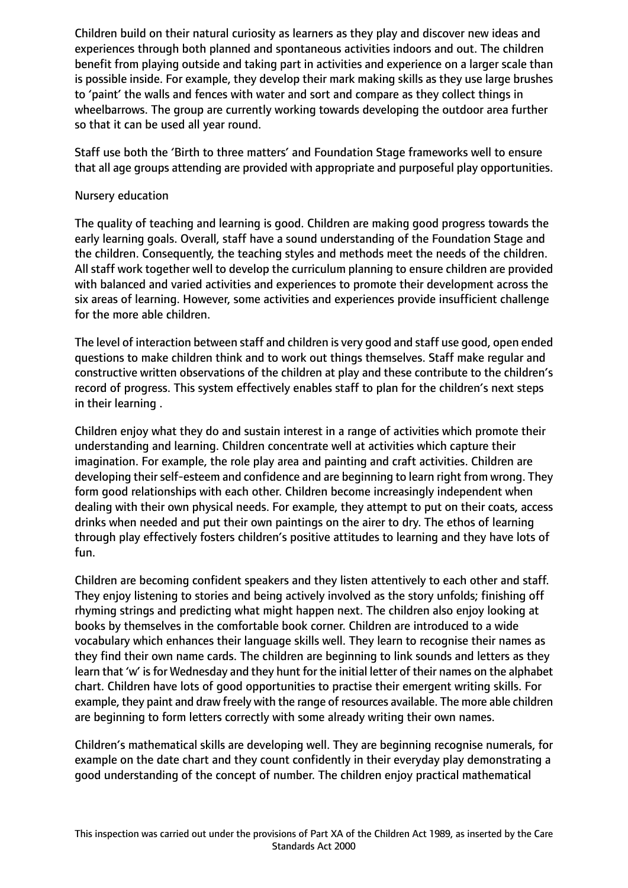Children build on their natural curiosity as learners as they play and discover new ideas and experiences through both planned and spontaneous activities indoors and out. The children benefit from playing outside and taking part in activities and experience on a larger scale than is possible inside. For example, they develop their mark making skills as they use large brushes to 'paint' the walls and fences with water and sort and compare as they collect things in wheelbarrows. The group are currently working towards developing the outdoor area further so that it can be used all year round.

Staff use both the 'Birth to three matters' and Foundation Stage frameworks well to ensure that all age groups attending are provided with appropriate and purposeful play opportunities.

#### Nursery education

The quality of teaching and learning is good. Children are making good progress towards the early learning goals. Overall, staff have a sound understanding of the Foundation Stage and the children. Consequently, the teaching styles and methods meet the needs of the children. All staff work together well to develop the curriculum planning to ensure children are provided with balanced and varied activities and experiences to promote their development across the six areas of learning. However, some activities and experiences provide insufficient challenge for the more able children.

The level of interaction between staff and children is very good and staff use good, open ended questions to make children think and to work out things themselves. Staff make regular and constructive written observations of the children at play and these contribute to the children's record of progress. This system effectively enables staff to plan for the children's next steps in their learning .

Children enjoy what they do and sustain interest in a range of activities which promote their understanding and learning. Children concentrate well at activities which capture their imagination. For example, the role play area and painting and craft activities. Children are developing their self-esteem and confidence and are beginning to learn right from wrong. They form good relationships with each other. Children become increasingly independent when dealing with their own physical needs. For example, they attempt to put on their coats, access drinks when needed and put their own paintings on the airer to dry. The ethos of learning through play effectively fosters children's positive attitudes to learning and they have lots of fun.

Children are becoming confident speakers and they listen attentively to each other and staff. They enjoy listening to stories and being actively involved as the story unfolds; finishing off rhyming strings and predicting what might happen next. The children also enjoy looking at books by themselves in the comfortable book corner. Children are introduced to a wide vocabulary which enhances their language skills well. They learn to recognise their names as they find their own name cards. The children are beginning to link sounds and letters as they learn that 'w' is for Wednesday and they hunt for the initial letter of their names on the alphabet chart. Children have lots of good opportunities to practise their emergent writing skills. For example, they paint and draw freely with the range of resources available. The more able children are beginning to form letters correctly with some already writing their own names.

Children's mathematical skills are developing well. They are beginning recognise numerals, for example on the date chart and they count confidently in their everyday play demonstrating a good understanding of the concept of number. The children enjoy practical mathematical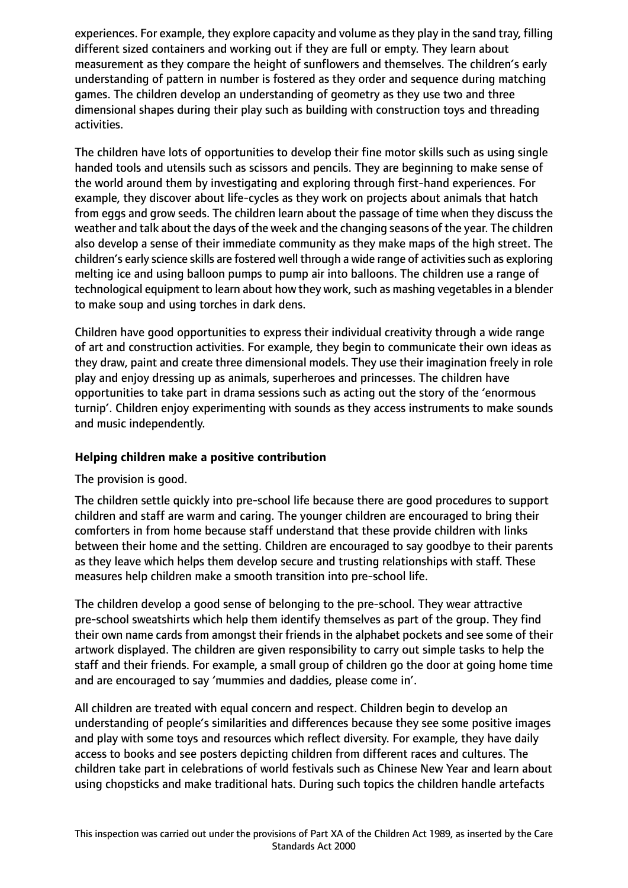experiences. For example, they explore capacity and volume as they play in the sand tray, filling different sized containers and working out if they are full or empty. They learn about measurement as they compare the height of sunflowers and themselves. The children's early understanding of pattern in number is fostered as they order and sequence during matching games. The children develop an understanding of geometry as they use two and three dimensional shapes during their play such as building with construction toys and threading activities.

The children have lots of opportunities to develop their fine motor skills such as using single handed tools and utensils such as scissors and pencils. They are beginning to make sense of the world around them by investigating and exploring through first-hand experiences. For example, they discover about life-cycles as they work on projects about animals that hatch from eggs and grow seeds. The children learn about the passage of time when they discuss the weather and talk about the days of the week and the changing seasons of the year. The children also develop a sense of their immediate community as they make maps of the high street. The children's early science skills are fostered well through a wide range of activities such as exploring melting ice and using balloon pumps to pump air into balloons. The children use a range of technological equipment to learn about how they work, such as mashing vegetables in a blender to make soup and using torches in dark dens.

Children have good opportunities to express their individual creativity through a wide range of art and construction activities. For example, they begin to communicate their own ideas as they draw, paint and create three dimensional models. They use their imagination freely in role play and enjoy dressing up as animals, superheroes and princesses. The children have opportunities to take part in drama sessions such as acting out the story of the 'enormous turnip'. Children enjoy experimenting with sounds as they access instruments to make sounds and music independently.

## **Helping children make a positive contribution**

## The provision is good.

The children settle quickly into pre-school life because there are good procedures to support children and staff are warm and caring. The younger children are encouraged to bring their comforters in from home because staff understand that these provide children with links between their home and the setting. Children are encouraged to say goodbye to their parents as they leave which helps them develop secure and trusting relationships with staff. These measures help children make a smooth transition into pre-school life.

The children develop a good sense of belonging to the pre-school. They wear attractive pre-school sweatshirts which help them identify themselves as part of the group. They find their own name cards from amongst their friends in the alphabet pockets and see some of their artwork displayed. The children are given responsibility to carry out simple tasks to help the staff and their friends. For example, a small group of children go the door at going home time and are encouraged to say 'mummies and daddies, please come in'.

All children are treated with equal concern and respect. Children begin to develop an understanding of people's similarities and differences because they see some positive images and play with some toys and resources which reflect diversity. For example, they have daily access to books and see posters depicting children from different races and cultures. The children take part in celebrations of world festivals such as Chinese New Year and learn about using chopsticks and make traditional hats. During such topics the children handle artefacts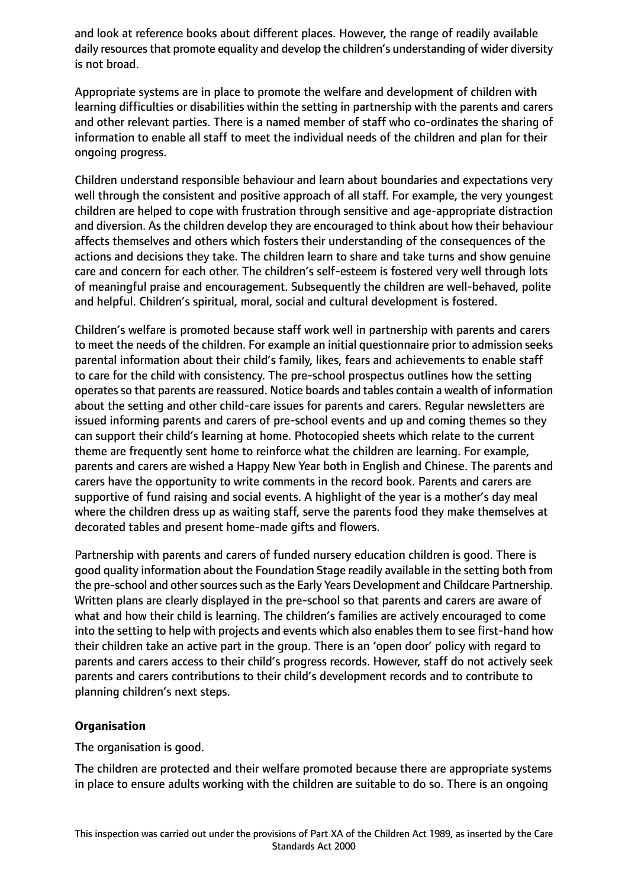and look at reference books about different places. However, the range of readily available daily resources that promote equality and develop the children's understanding of wider diversity is not broad.

Appropriate systems are in place to promote the welfare and development of children with learning difficulties or disabilities within the setting in partnership with the parents and carers and other relevant parties. There is a named member of staff who co-ordinates the sharing of information to enable all staff to meet the individual needs of the children and plan for their ongoing progress.

Children understand responsible behaviour and learn about boundaries and expectations very well through the consistent and positive approach of all staff. For example, the very youngest children are helped to cope with frustration through sensitive and age-appropriate distraction and diversion. As the children develop they are encouraged to think about how their behaviour affects themselves and others which fosters their understanding of the consequences of the actions and decisions they take. The children learn to share and take turns and show genuine care and concern for each other. The children's self-esteem is fostered very well through lots of meaningful praise and encouragement. Subsequently the children are well-behaved, polite and helpful. Children's spiritual, moral, social and cultural development is fostered.

Children's welfare is promoted because staff work well in partnership with parents and carers to meet the needs of the children. For example an initial questionnaire prior to admission seeks parental information about their child's family, likes, fears and achievements to enable staff to care for the child with consistency. The pre-school prospectus outlines how the setting operates so that parents are reassured. Notice boards and tables contain a wealth of information about the setting and other child-care issues for parents and carers. Regular newsletters are issued informing parents and carers of pre-school events and up and coming themes so they can support their child's learning at home. Photocopied sheets which relate to the current theme are frequently sent home to reinforce what the children are learning. For example, parents and carers are wished a Happy New Year both in English and Chinese. The parents and carers have the opportunity to write comments in the record book. Parents and carers are supportive of fund raising and social events. A highlight of the year is a mother's day meal where the children dress up as waiting staff, serve the parents food they make themselves at decorated tables and present home-made gifts and flowers.

Partnership with parents and carers of funded nursery education children is good. There is good quality information about the Foundation Stage readily available in the setting both from the pre-school and other sources such as the Early Years Development and Childcare Partnership. Written plans are clearly displayed in the pre-school so that parents and carers are aware of what and how their child is learning. The children's families are actively encouraged to come into the setting to help with projects and events which also enables them to see first-hand how their children take an active part in the group. There is an 'open door' policy with regard to parents and carers access to their child's progress records. However, staff do not actively seek parents and carers contributions to their child's development records and to contribute to planning children's next steps.

## **Organisation**

The organisation is good.

The children are protected and their welfare promoted because there are appropriate systems in place to ensure adults working with the children are suitable to do so. There is an ongoing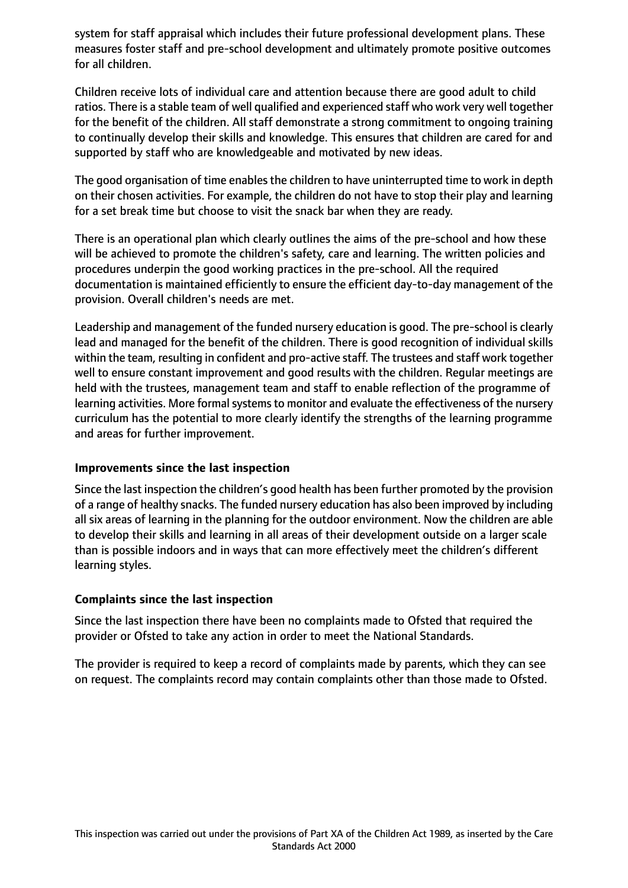system for staff appraisal which includes their future professional development plans. These measures foster staff and pre-school development and ultimately promote positive outcomes for all children.

Children receive lots of individual care and attention because there are good adult to child ratios. There is a stable team of well qualified and experienced staff who work very well together for the benefit of the children. All staff demonstrate a strong commitment to ongoing training to continually develop their skills and knowledge. This ensures that children are cared for and supported by staff who are knowledgeable and motivated by new ideas.

The good organisation of time enables the children to have uninterrupted time to work in depth on their chosen activities. For example, the children do not have to stop their play and learning for a set break time but choose to visit the snack bar when they are ready.

There is an operational plan which clearly outlines the aims of the pre-school and how these will be achieved to promote the children's safety, care and learning. The written policies and procedures underpin the good working practices in the pre-school. All the required documentation is maintained efficiently to ensure the efficient day-to-day management of the provision. Overall children's needs are met.

Leadership and management of the funded nursery education is good. The pre-school is clearly lead and managed for the benefit of the children. There is good recognition of individual skills within the team, resulting in confident and pro-active staff. The trustees and staff work together well to ensure constant improvement and good results with the children. Regular meetings are held with the trustees, management team and staff to enable reflection of the programme of learning activities. More formal systems to monitor and evaluate the effectiveness of the nursery curriculum has the potential to more clearly identify the strengths of the learning programme and areas for further improvement.

## **Improvements since the last inspection**

Since the last inspection the children's good health has been further promoted by the provision of a range of healthy snacks. The funded nursery education has also been improved by including all six areas of learning in the planning for the outdoor environment. Now the children are able to develop their skills and learning in all areas of their development outside on a larger scale than is possible indoors and in ways that can more effectively meet the children's different learning styles.

## **Complaints since the last inspection**

Since the last inspection there have been no complaints made to Ofsted that required the provider or Ofsted to take any action in order to meet the National Standards.

The provider is required to keep a record of complaints made by parents, which they can see on request. The complaints record may contain complaints other than those made to Ofsted.